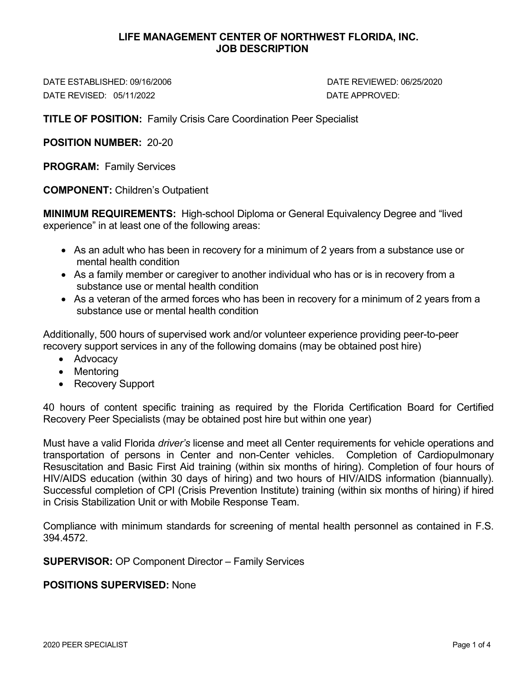#### **LIFE MANAGEMENT CENTER OF NORTHWEST FLORIDA, INC. JOB DESCRIPTION**

DATE ESTABLISHED: 09/16/2006 DATE REVIEWED: 06/25/2020 DATE REVISED: 05/11/2022 DATE APPROVED:

**TITLE OF POSITION:** Family Crisis Care Coordination Peer Specialist

**POSITION NUMBER:** 20-20

**PROGRAM:** Family Services

**COMPONENT:** Children's Outpatient

**MINIMUM REQUIREMENTS:** High-school Diploma or General Equivalency Degree and "lived experience" in at least one of the following areas:

- As an adult who has been in recovery for a minimum of 2 years from a substance use or mental health condition
- As a family member or caregiver to another individual who has or is in recovery from a substance use or mental health condition
- As a veteran of the armed forces who has been in recovery for a minimum of 2 years from a substance use or mental health condition

Additionally, 500 hours of supervised work and/or volunteer experience providing peer-to-peer recovery support services in any of the following domains (may be obtained post hire)

- Advocacy
- Mentoring
- Recovery Support

40 hours of content specific training as required by the Florida Certification Board for Certified Recovery Peer Specialists (may be obtained post hire but within one year)

Must have a valid Florida *driver's* license and meet all Center requirements for vehicle operations and transportation of persons in Center and non-Center vehicles. Completion of Cardiopulmonary Resuscitation and Basic First Aid training (within six months of hiring). Completion of four hours of HIV/AIDS education (within 30 days of hiring) and two hours of HIV/AIDS information (biannually). Successful completion of CPI (Crisis Prevention Institute) training (within six months of hiring) if hired in Crisis Stabilization Unit or with Mobile Response Team.

Compliance with minimum standards for screening of mental health personnel as contained in F.S. 394.4572.

**SUPERVISOR:** OP Component Director – Family Services

### **POSITIONS SUPERVISED:** None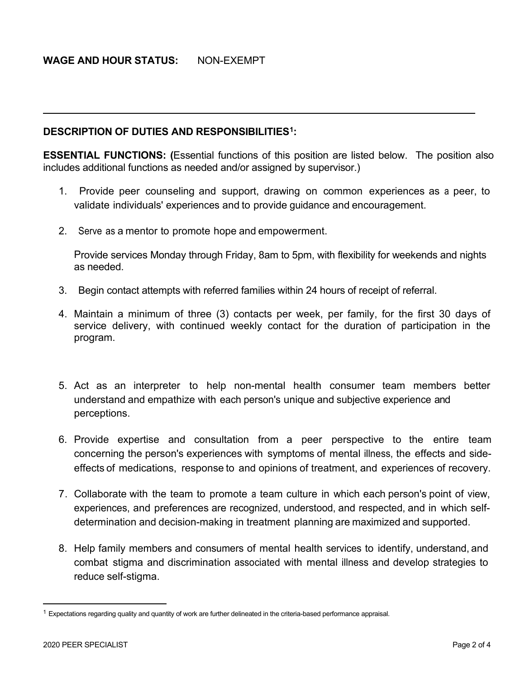## **WAGE AND HOUR STATUS:** NON-EXEMPT

#### **DESCRIPTION OF DUTIES AND RESPONSIBILITIES[1](#page-1-0):**

**ESSENTIAL FUNCTIONS: (**Essential functions of this position are listed below. The position also includes additional functions as needed and/or assigned by supervisor.)

- 1. Provide peer counseling and support, drawing on common experiences as a peer, to validate individuals' experiences and to provide guidance and encouragement.
- 2. Serve as a mentor to promote hope and empowerment.

Provide services Monday through Friday, 8am to 5pm, with flexibility for weekends and nights as needed.

- 3. Begin contact attempts with referred families within 24 hours of receipt of referral.
- 4. Maintain a minimum of three (3) contacts per week, per family, for the first 30 days of service delivery, with continued weekly contact for the duration of participation in the program.
- 5. Act as an interpreter to help non-mental health consumer team members better understand and empathize with each person's unique and subjective experience and perceptions.
- 6. Provide expertise and consultation from a peer perspective to the entire team concerning the person's experiences with symptoms of mental illness, the effects and sideeffects of medications, response to and opinions of treatment, and experiences of recovery.
- 7. Collaborate with the team to promote a team culture in which each person's point of view, experiences, and preferences are recognized, understood, and respected, and in which selfdetermination and decision-making in treatment planning are maximized and supported.
- 8. Help family members and consumers of mental health services to identify, understand, and combat stigma and discrimination associated with mental illness and develop strategies to reduce self-stigma.

<span id="page-1-0"></span> $1$  Expectations regarding quality and quantity of work are further delineated in the criteria-based performance appraisal.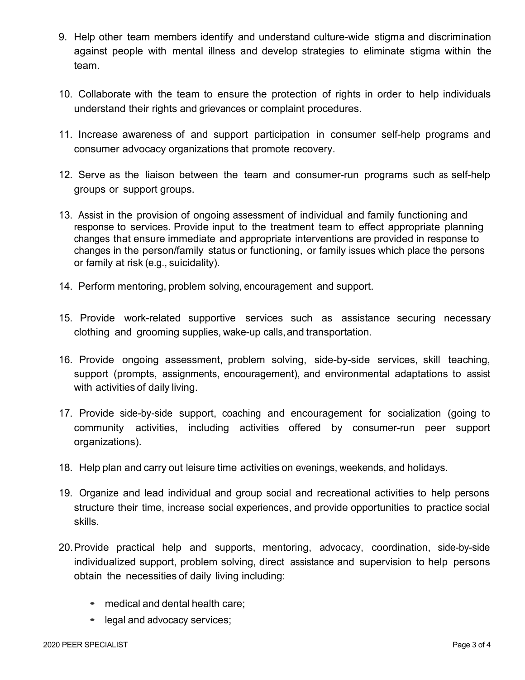- 9. Help other team members identify and understand culture-wide stigma and discrimination against people with mental illness and develop strategies to eliminate stigma within the team.
- 10. Collaborate with the team to ensure the protection of rights in order to help individuals understand their rights and grievances or complaint procedures.
- 11. Increase awareness of and support participation in consumer self-help programs and consumer advocacy organizations that promote recovery.
- 12. Serve as the liaison between the team and consumer-run programs such as self-help groups or support groups.
- 13. Assist in the provision of ongoing assessment of individual and family functioning and response to services. Provide input to the treatment team to effect appropriate planning changes that ensure immediate and appropriate interventions are provided in response to changes in the person/family status or functioning, or family issues which place the persons or family at risk (e.g., suicidality).
- 14. Perform mentoring, problem solving, encouragement and support.
- 15. Provide work-related supportive services such as assistance securing necessary clothing and grooming supplies, wake-up calls, and transportation.
- 16. Provide ongoing assessment, problem solving, side-by-side services, skill teaching, support (prompts, assignments, encouragement), and environmental adaptations to assist with activities of daily living.
- 17. Provide side-by-side support, coaching and encouragement for socialization (going to community activities, including activities offered by consumer-run peer support organizations).
- 18. Help plan and carry out leisure time activities on evenings, weekends, and holidays.
- 19. Organize and lead individual and group social and recreational activities to help persons structure their time, increase social experiences, and provide opportunities to practice social skills.
- 20.Provide practical help and supports, mentoring, advocacy, coordination, side-by-side individualized support, problem solving, direct assistance and supervision to help persons obtain the necessities of daily living including:
	- medical and dental health care;
	- legal and advocacy services;